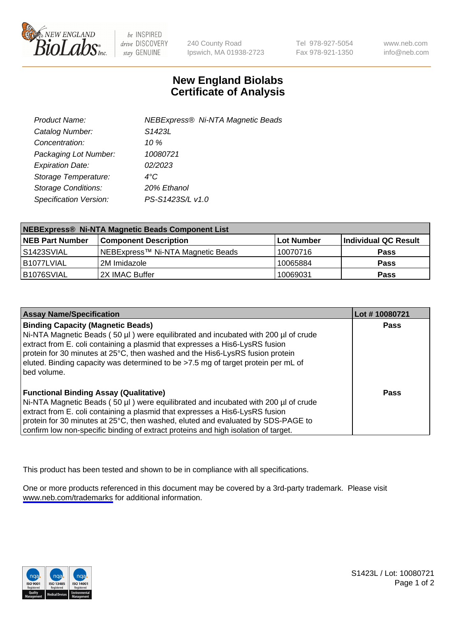

be INSPIRED drive DISCOVERY stay GENUINE

240 County Road Ipswich, MA 01938-2723 Tel 978-927-5054 Fax 978-921-1350

www.neb.com info@neb.com

## **New England Biolabs Certificate of Analysis**

| Product Name:              | <b>NEBExpress® Ni-NTA Magnetic Beads</b> |
|----------------------------|------------------------------------------|
| Catalog Number:            | S <sub>1423</sub> L                      |
| Concentration:             | 10 $\%$                                  |
| Packaging Lot Number:      | 10080721                                 |
| <b>Expiration Date:</b>    | 02/2023                                  |
| Storage Temperature:       | $4^{\circ}$ C                            |
| <b>Storage Conditions:</b> | 20% Ethanol                              |
| Specification Version:     | PS-S1423S/L v1.0                         |
|                            |                                          |

| NEBExpress® Ni-NTA Magnetic Beads Component List |                                   |            |                      |  |
|--------------------------------------------------|-----------------------------------|------------|----------------------|--|
| <b>NEB Part Number</b>                           | <b>Component Description</b>      | Lot Number | Individual QC Result |  |
| l S1423SVIAL                                     | NEBExpress™ Ni-NTA Magnetic Beads | 10070716   | <b>Pass</b>          |  |
| B1077LVIAL                                       | 2M Imidazole                      | 10065884   | <b>Pass</b>          |  |
| B1076SVIAL                                       | 2X IMAC Buffer                    | 10069031   | <b>Pass</b>          |  |

| <b>Assay Name/Specification</b>                                                                                                                                                                                                                                                                                                                                                                     | Lot #10080721 |
|-----------------------------------------------------------------------------------------------------------------------------------------------------------------------------------------------------------------------------------------------------------------------------------------------------------------------------------------------------------------------------------------------------|---------------|
| <b>Binding Capacity (Magnetic Beads)</b><br>Ni-NTA Magnetic Beads (50 µl) were equilibrated and incubated with 200 µl of crude<br>extract from E. coli containing a plasmid that expresses a His6-LysRS fusion<br>protein for 30 minutes at 25°C, then washed and the His6-LysRS fusion protein<br>eluted. Binding capacity was determined to be >7.5 mg of target protein per mL of<br>bed volume. | <b>Pass</b>   |
| <b>Functional Binding Assay (Qualitative)</b><br>Ni-NTA Magnetic Beads (50 µl) were equilibrated and incubated with 200 µl of crude<br>extract from E. coli containing a plasmid that expresses a His6-LysRS fusion<br>protein for 30 minutes at 25°C, then washed, eluted and evaluated by SDS-PAGE to<br>confirm low non-specific binding of extract proteins and high isolation of target.       | Pass          |

This product has been tested and shown to be in compliance with all specifications.

One or more products referenced in this document may be covered by a 3rd-party trademark. Please visit <www.neb.com/trademarks>for additional information.